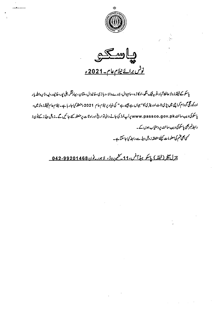

**پياسىكى** <u>نوٹس برائے نیلام عام۔2021ء</u>

پاسکو کے فیلڈ ز ونز حا فظ آ ہا د ،ٹو بہ فیک ینگھ،اوکا ژ ہ ،سامیوال ، دانا ، و ہا ڑی ، خانیدال ، بلان اقتر ، علی اپن ، خانپور ،لیہ، ڈیرہ اللہ پار ادرکورگی کودام کراچی میں پڑی ٹائ اور پتری کا" جہاں ہے پیسے ہے " کی بنیا دپر نیلام عام 2021 منعقد کیا جار ہاہے۔ نیلام عام فیلڈز ونز میں، پاسکوکی ویب سائٹ www.passco.gov.pk پراپ لوڈ کی جانے والی تواریخ اوراو تا ت پرمنعقد کیے جائیں گے۔زوٹل ہیڈ ز کےفون ا رابط نمبر بھی پاسکوکی ویب سائٹ پر دستیاب ہوں گے۔

کسی بھی قسم کی معلو مات کیلئے متعلقہ زوٹل ہیڈ سے رابطہ کیا جاسکتا ہے۔

<u>جزل بنجر(فیلڈ) پاسکو ہڈایش، 11 کھیردوڈ، لاہور پوْن 042-99201468 ۔</u>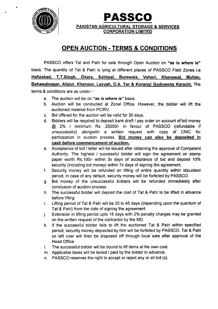

•

**PASSCO** PAKISTAN AGRICULTURAL STORAGE & SERVICES CORPORATION LIMITED

## **OPEN AUCTION - TERMS & CONDITIONS**

PASSCO offers Tat and Patri for sale through Open Auction on "as is where is" basis. The quantity of Tat & Patri is lying at different places of PASSCO Field Zones i.e Hafizabad, T,T.Singh. Okara, Sahiwal. Burewala, Vehari, Khanewal, Multan, Bahawalnagar, Alipur, Khanpur, Layyah, D.A. Yar & Korangi Godowons Karachi. The terms & conditions are as under:-

- a. The auction will be on "as is where is" basis.
- b. Auction will be conducted at Zonal Office. However, the bidder will lift the auctioned material from PC/RV.
- c. Bid offered for the auction will be valid for 30 days.
- d. Bidders will be required to deposit bank draft *1* pay order on account of bid money @ 2% *1* minimum Rs. *250001-* in favour of PASSCO (refundable if unsuccessful) alongwith a written request with copy of CNIC for participation in auction process. Bid money can also be deposited in cash before commencement of auction.
- e. Acceptance of bid *1* letter will be issued after obtaining the approval of Competent Authority. The highest *1* successful bidder will sign the agreement on stamp paper worth *RS.1001-* within 3x days of acceptance of bid and deposit 10% security (including bid money) within 7x days of signing the agreement.
- f. Security money will be refunded on lifting of entire quantity within stipulated period. In case of any default, security money will be forfeited by PASSCO.
- g. Bid money of the unsuccessful bidders will be refunded immediately after conclusion of auction process.
- h. The successful bidder will deposit the cost of Tat & Patri to be lifted in advance before lifting
- i. Lifting period of Tat & Patri will be 30 to 45 days (depending upon the quantum of Tat & Patri) from the date of signing the agreement.
- j. Extension in lifting period upto 15 days with 2% penalty charges may be granted on the written request of the contractor by the MD.
- k. If the successful bidder fails to lift the auctioned Tat & Patri within specified period, security money deposited by him will be forfeited by PASSCO. Tat & Patri so left over will then be disposed off through local sale after approval of the Head Office.
- I. The successful bidder will be bound to lift items at his own cost.
- m. Applicable taxes will be levied *1* paid by the bidder in advance.
- n. PASSCO reserves the right to accept or reject any or all bid (s).